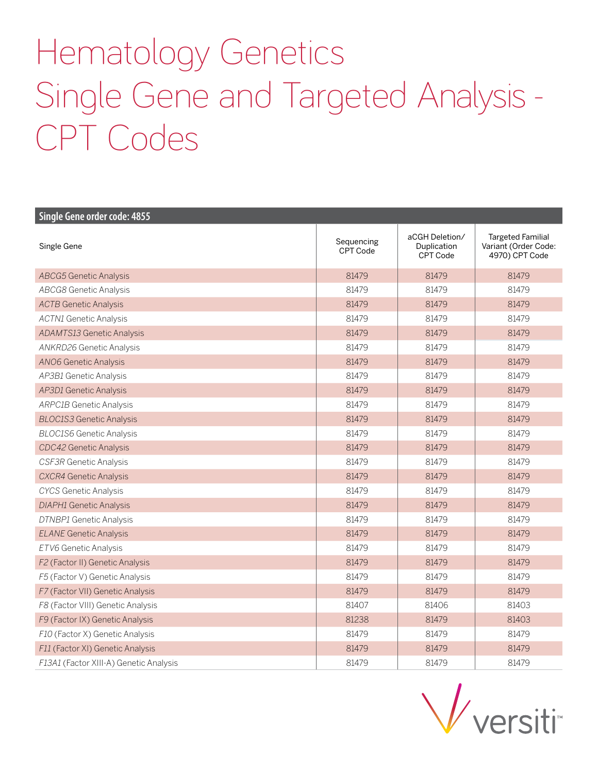## Hematology Genetics Single Gene and Targeted Analysis - CPT Codes

| Single Gene order code: 4855           |                        |                                           |                                                                    |
|----------------------------------------|------------------------|-------------------------------------------|--------------------------------------------------------------------|
| Single Gene                            | Sequencing<br>CPT Code | aCGH Deletion/<br>Duplication<br>CPT Code | <b>Targeted Familial</b><br>Variant (Order Code:<br>4970) CPT Code |
| <b>ABCG5</b> Genetic Analysis          | 81479                  | 81479                                     | 81479                                                              |
| <b>ABCG8 Genetic Analysis</b>          | 81479                  | 81479                                     | 81479                                                              |
| <b>ACTB Genetic Analysis</b>           | 81479                  | 81479                                     | 81479                                                              |
| <b>ACTN1</b> Genetic Analysis          | 81479                  | 81479                                     | 81479                                                              |
| <b>ADAMTS13 Genetic Analysis</b>       | 81479                  | 81479                                     | 81479                                                              |
| ANKRD26 Genetic Analysis               | 81479                  | 81479                                     | 81479                                                              |
| <b>ANO6 Genetic Analysis</b>           | 81479                  | 81479                                     | 81479                                                              |
| AP3B1 Genetic Analysis                 | 81479                  | 81479                                     | 81479                                                              |
| AP3D1 Genetic Analysis                 | 81479                  | 81479                                     | 81479                                                              |
| <b>ARPC1B Genetic Analysis</b>         | 81479                  | 81479                                     | 81479                                                              |
| <b>BLOC1S3 Genetic Analysis</b>        | 81479                  | 81479                                     | 81479                                                              |
| <b>BLOC1S6 Genetic Analysis</b>        | 81479                  | 81479                                     | 81479                                                              |
| CDC42 Genetic Analysis                 | 81479                  | 81479                                     | 81479                                                              |
| CSF3R Genetic Analysis                 | 81479                  | 81479                                     | 81479                                                              |
| <b>CXCR4 Genetic Analysis</b>          | 81479                  | 81479                                     | 81479                                                              |
| <b>CYCS Genetic Analysis</b>           | 81479                  | 81479                                     | 81479                                                              |
| <b>DIAPH1</b> Genetic Analysis         | 81479                  | 81479                                     | 81479                                                              |
| DTNBP1 Genetic Analysis                | 81479                  | 81479                                     | 81479                                                              |
| <b>ELANE Genetic Analysis</b>          | 81479                  | 81479                                     | 81479                                                              |
| ETV6 Genetic Analysis                  | 81479                  | 81479                                     | 81479                                                              |
| F2 (Factor II) Genetic Analysis        | 81479                  | 81479                                     | 81479                                                              |
| F5 (Factor V) Genetic Analysis         | 81479                  | 81479                                     | 81479                                                              |
| F7 (Factor VII) Genetic Analysis       | 81479                  | 81479                                     | 81479                                                              |
| F8 (Factor VIII) Genetic Analysis      | 81407                  | 81406                                     | 81403                                                              |
| F9 (Factor IX) Genetic Analysis        | 81238                  | 81479                                     | 81403                                                              |
| F10 (Factor X) Genetic Analysis        | 81479                  | 81479                                     | 81479                                                              |
| F11 (Factor XI) Genetic Analysis       | 81479                  | 81479                                     | 81479                                                              |
| F13A1 (Factor XIII-A) Genetic Analysis | 81479                  | 81479                                     | 81479                                                              |

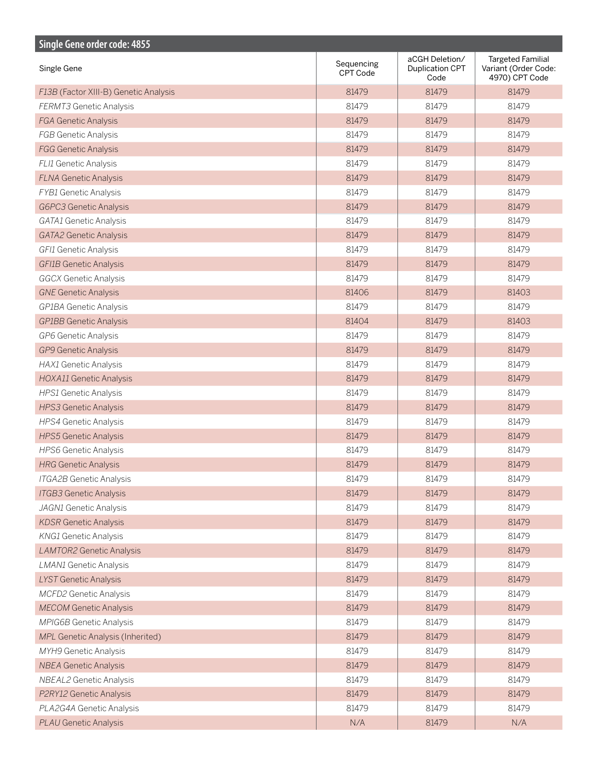| Single Gene order code: 4855          |                        |                                           |                                                                    |
|---------------------------------------|------------------------|-------------------------------------------|--------------------------------------------------------------------|
| Single Gene                           | Sequencing<br>CPT Code | aCGH Deletion/<br>Duplication CPT<br>Code | <b>Targeted Familial</b><br>Variant (Order Code:<br>4970) CPT Code |
| F13B (Factor XIII-B) Genetic Analysis | 81479                  | 81479                                     | 81479                                                              |
| <b>FERMT3 Genetic Analysis</b>        | 81479                  | 81479                                     | 81479                                                              |
| <b>FGA Genetic Analysis</b>           | 81479                  | 81479                                     | 81479                                                              |
| <b>FGB Genetic Analysis</b>           | 81479                  | 81479                                     | 81479                                                              |
| <b>FGG Genetic Analysis</b>           | 81479                  | 81479                                     | 81479                                                              |
| FLI1 Genetic Analysis                 | 81479                  | 81479                                     | 81479                                                              |
| <b>FLNA Genetic Analysis</b>          | 81479                  | 81479                                     | 81479                                                              |
| <b>FYB1</b> Genetic Analysis          | 81479                  | 81479                                     | 81479                                                              |
| G6PC3 Genetic Analysis                | 81479                  | 81479                                     | 81479                                                              |
| GATA1 Genetic Analysis                | 81479                  | 81479                                     | 81479                                                              |
| <b>GATA2 Genetic Analysis</b>         | 81479                  | 81479                                     | 81479                                                              |
| GFI1 Genetic Analysis                 | 81479                  | 81479                                     | 81479                                                              |
| <b>GFI1B Genetic Analysis</b>         | 81479                  | 81479                                     | 81479                                                              |
| <b>GGCX Genetic Analysis</b>          | 81479                  | 81479                                     | 81479                                                              |
| <b>GNE Genetic Analysis</b>           | 81406                  | 81479                                     | 81403                                                              |
| GP1BA Genetic Analysis                | 81479                  | 81479                                     | 81479                                                              |
| <b>GP1BB</b> Genetic Analysis         | 81404                  | 81479                                     | 81403                                                              |
| GP6 Genetic Analysis                  | 81479                  | 81479                                     | 81479                                                              |
| <b>GP9 Genetic Analysis</b>           | 81479                  | 81479                                     | 81479                                                              |
| HAX1 Genetic Analysis                 | 81479                  | 81479                                     | 81479                                                              |
| HOXA11 Genetic Analysis               | 81479                  | 81479                                     | 81479                                                              |
| HPS1 Genetic Analysis                 | 81479                  | 81479                                     | 81479                                                              |
| HPS3 Genetic Analysis                 | 81479                  | 81479                                     | 81479                                                              |
| HPS4 Genetic Analysis                 | 81479                  | 81479                                     | 81479                                                              |
| HPS5 Genetic Analysis                 | 81479                  | 81479                                     | 81479                                                              |
| HPS6 Genetic Analysis                 | 81479                  | 81479                                     | 81479                                                              |
| <b>HRG Genetic Analysis</b>           | 81479                  | 81479                                     | 81479                                                              |
| ITGA2B Genetic Analysis               | 81479                  | 81479                                     | 81479                                                              |
| <b>ITGB3</b> Genetic Analysis         | 81479                  | 81479                                     | 81479                                                              |
| JAGN1 Genetic Analysis                | 81479                  | 81479                                     | 81479                                                              |
| <b>KDSR Genetic Analysis</b>          | 81479                  | 81479                                     | 81479                                                              |
| KNG1 Genetic Analysis                 | 81479                  | 81479                                     | 81479                                                              |
| <b>LAMTOR2 Genetic Analysis</b>       | 81479                  | 81479                                     | 81479                                                              |
| <b>LMAN1</b> Genetic Analysis         | 81479                  | 81479                                     | 81479                                                              |
| LYST Genetic Analysis                 | 81479                  | 81479                                     | 81479                                                              |
| MCFD2 Genetic Analysis                | 81479                  | 81479                                     | 81479                                                              |
| <b>MECOM Genetic Analysis</b>         | 81479                  | 81479                                     | 81479                                                              |
| MPIG6B Genetic Analysis               | 81479                  | 81479                                     | 81479                                                              |
| MPL Genetic Analysis (Inherited)      | 81479                  | 81479                                     | 81479                                                              |
| MYH9 Genetic Analysis                 | 81479                  | 81479                                     | 81479                                                              |
| <b>NBEA Genetic Analysis</b>          | 81479                  | 81479                                     | 81479                                                              |
| NBEAL2 Genetic Analysis               | 81479                  | 81479                                     | 81479                                                              |
| P2RY12 Genetic Analysis               | 81479                  | 81479                                     | 81479                                                              |
| PLA2G4A Genetic Analysis              | 81479                  | 81479                                     | 81479                                                              |
| <b>PLAU Genetic Analysis</b>          | N/A                    | 81479                                     | N/A                                                                |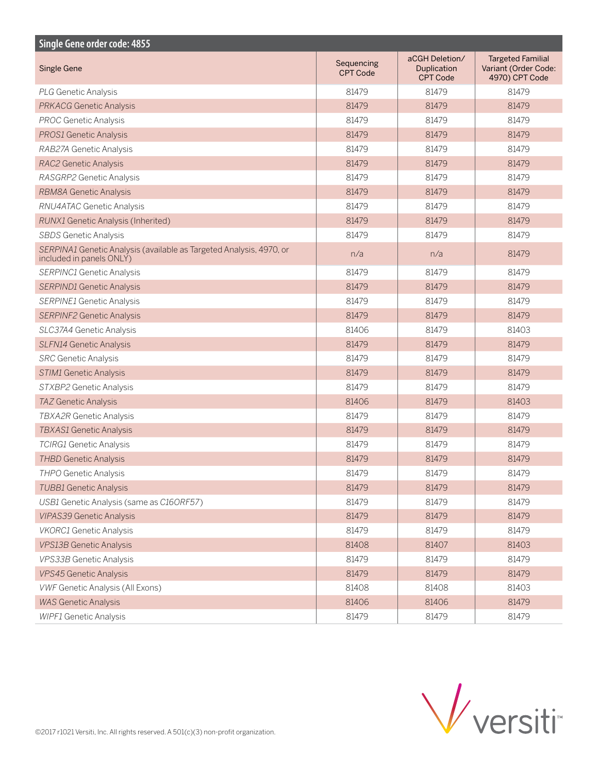| <b>Single Gene order code: 4855</b>                                                             |                               |                                                  |                                                                    |  |  |
|-------------------------------------------------------------------------------------------------|-------------------------------|--------------------------------------------------|--------------------------------------------------------------------|--|--|
| <b>Single Gene</b>                                                                              | Sequencing<br><b>CPT Code</b> | aCGH Deletion/<br>Duplication<br><b>CPT Code</b> | <b>Targeted Familial</b><br>Variant (Order Code:<br>4970) CPT Code |  |  |
| <b>PLG Genetic Analysis</b>                                                                     | 81479                         | 81479                                            | 81479                                                              |  |  |
| <b>PRKACG Genetic Analysis</b>                                                                  | 81479                         | 81479                                            | 81479                                                              |  |  |
| <b>PROC Genetic Analysis</b>                                                                    | 81479                         | 81479                                            | 81479                                                              |  |  |
| <b>PROS1 Genetic Analysis</b>                                                                   | 81479                         | 81479                                            | 81479                                                              |  |  |
| RAB27A Genetic Analysis                                                                         | 81479                         | 81479                                            | 81479                                                              |  |  |
| RAC2 Genetic Analysis                                                                           | 81479                         | 81479                                            | 81479                                                              |  |  |
| RASGRP2 Genetic Analysis                                                                        | 81479                         | 81479                                            | 81479                                                              |  |  |
| <b>RBM8A Genetic Analysis</b>                                                                   | 81479                         | 81479                                            | 81479                                                              |  |  |
| RNU4ATAC Genetic Analysis                                                                       | 81479                         | 81479                                            | 81479                                                              |  |  |
| <b>RUNX1</b> Genetic Analysis (Inherited)                                                       | 81479                         | 81479                                            | 81479                                                              |  |  |
| <b>SBDS</b> Genetic Analysis                                                                    | 81479                         | 81479                                            | 81479                                                              |  |  |
| SERPINA1 Genetic Analysis (available as Targeted Analysis, 4970, or<br>included in panels ONLY) | n/a                           | n/a                                              | 81479                                                              |  |  |
| SERPINC1 Genetic Analysis                                                                       | 81479                         | 81479                                            | 81479                                                              |  |  |
| <b>SERPIND1 Genetic Analysis</b>                                                                | 81479                         | 81479                                            | 81479                                                              |  |  |
| SERPINE1 Genetic Analysis                                                                       | 81479                         | 81479                                            | 81479                                                              |  |  |
| <b>SERPINF2 Genetic Analysis</b>                                                                | 81479                         | 81479                                            | 81479                                                              |  |  |
| SLC37A4 Genetic Analysis                                                                        | 81406                         | 81479                                            | 81403                                                              |  |  |
| <b>SLFN14 Genetic Analysis</b>                                                                  | 81479                         | 81479                                            | 81479                                                              |  |  |
| <b>SRC</b> Genetic Analysis                                                                     | 81479                         | 81479                                            | 81479                                                              |  |  |
| STIM1 Genetic Analysis                                                                          | 81479                         | 81479                                            | 81479                                                              |  |  |
| STXBP2 Genetic Analysis                                                                         | 81479                         | 81479                                            | 81479                                                              |  |  |
| TAZ Genetic Analysis                                                                            | 81406                         | 81479                                            | 81403                                                              |  |  |
| <b>TBXA2R Genetic Analysis</b>                                                                  | 81479                         | 81479                                            | 81479                                                              |  |  |
| <b>TBXAS1 Genetic Analysis</b>                                                                  | 81479                         | 81479                                            | 81479                                                              |  |  |
| <b>TCIRG1</b> Genetic Analysis                                                                  | 81479                         | 81479                                            | 81479                                                              |  |  |
| <b>THBD Genetic Analysis</b>                                                                    | 81479                         | 81479                                            | 81479                                                              |  |  |
| <b>THPO Genetic Analysis</b>                                                                    | 81479                         | 81479                                            | 81479                                                              |  |  |
| <b>TUBB1</b> Genetic Analysis                                                                   | 81479                         | 81479                                            | 81479                                                              |  |  |
| USB1 Genetic Analysis (same as C16ORF57)                                                        | 81479                         | 81479                                            | 81479                                                              |  |  |
| <b>VIPAS39 Genetic Analysis</b>                                                                 | 81479                         | 81479                                            | 81479                                                              |  |  |
| <b>VKORC1</b> Genetic Analysis                                                                  | 81479                         | 81479                                            | 81479                                                              |  |  |
| <b>VPS13B Genetic Analysis</b>                                                                  | 81408                         | 81407                                            | 81403                                                              |  |  |
| VPS33B Genetic Analysis                                                                         | 81479                         | 81479                                            | 81479                                                              |  |  |
| VPS45 Genetic Analysis                                                                          | 81479                         | 81479                                            | 81479                                                              |  |  |
| VWF Genetic Analysis (All Exons)                                                                | 81408                         | 81408                                            | 81403                                                              |  |  |
| <b>WAS Genetic Analysis</b>                                                                     | 81406                         | 81406                                            | 81479                                                              |  |  |
| <b>WIPF1 Genetic Analysis</b>                                                                   | 81479                         | 81479                                            | 81479                                                              |  |  |